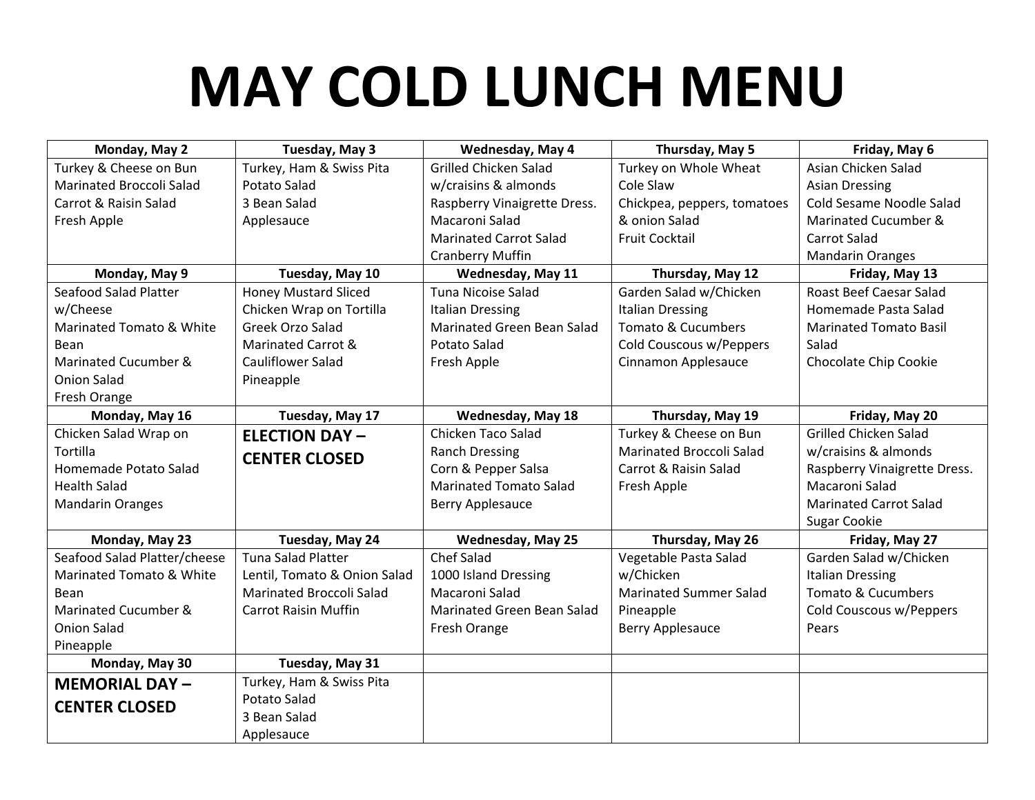## **MAY COLD LUNCH MENU**

| Monday, May 2                       | Tuesday, May 3                  | Wednesday, May 4                  | Thursday, May 5                 | Friday, May 6                  |
|-------------------------------------|---------------------------------|-----------------------------------|---------------------------------|--------------------------------|
| Turkey & Cheese on Bun              | Turkey, Ham & Swiss Pita        | <b>Grilled Chicken Salad</b>      | Turkey on Whole Wheat           | Asian Chicken Salad            |
| Marinated Broccoli Salad            | Potato Salad                    | w/craisins & almonds              | Cole Slaw                       | <b>Asian Dressing</b>          |
| Carrot & Raisin Salad               | 3 Bean Salad                    | Raspberry Vinaigrette Dress.      | Chickpea, peppers, tomatoes     | Cold Sesame Noodle Salad       |
| Fresh Apple                         | Applesauce                      | Macaroni Salad                    | & onion Salad                   | Marinated Cucumber &           |
|                                     |                                 | <b>Marinated Carrot Salad</b>     | <b>Fruit Cocktail</b>           | <b>Carrot Salad</b>            |
|                                     |                                 | Cranberry Muffin                  |                                 | <b>Mandarin Oranges</b>        |
| Monday, May 9                       | Tuesday, May 10                 | <b>Wednesday, May 11</b>          | Thursday, May 12                | Friday, May 13                 |
| Seafood Salad Platter               | <b>Honey Mustard Sliced</b>     | <b>Tuna Nicoise Salad</b>         | Garden Salad w/Chicken          | <b>Roast Beef Caesar Salad</b> |
| w/Cheese                            | Chicken Wrap on Tortilla        | <b>Italian Dressing</b>           | <b>Italian Dressing</b>         | Homemade Pasta Salad           |
| Marinated Tomato & White            | Greek Orzo Salad                | Marinated Green Bean Salad        | Tomato & Cucumbers              | <b>Marinated Tomato Basil</b>  |
| Bean                                | Marinated Carrot &              | Potato Salad                      | Cold Couscous w/Peppers         | Salad                          |
| Marinated Cucumber &                | Cauliflower Salad               | Fresh Apple                       | Cinnamon Applesauce             | Chocolate Chip Cookie          |
| <b>Onion Salad</b>                  | Pineapple                       |                                   |                                 |                                |
| Fresh Orange                        |                                 |                                   |                                 |                                |
| Monday, May 16                      | Tuesday, May 17                 | <b>Wednesday, May 18</b>          | Thursday, May 19                | Friday, May 20                 |
| Chicken Salad Wrap on               | <b>ELECTION DAY-</b>            | Chicken Taco Salad                | Turkey & Cheese on Bun          | <b>Grilled Chicken Salad</b>   |
| Tortilla                            | <b>CENTER CLOSED</b>            | <b>Ranch Dressing</b>             | <b>Marinated Broccoli Salad</b> | w/craisins & almonds           |
| Homemade Potato Salad               |                                 | Corn & Pepper Salsa               | Carrot & Raisin Salad           | Raspberry Vinaigrette Dress.   |
| <b>Health Salad</b>                 |                                 | <b>Marinated Tomato Salad</b>     | Fresh Apple                     | Macaroni Salad                 |
| <b>Mandarin Oranges</b>             |                                 | <b>Berry Applesauce</b>           |                                 | <b>Marinated Carrot Salad</b>  |
|                                     |                                 |                                   |                                 | <b>Sugar Cookie</b>            |
| Monday, May 23                      | Tuesday, May 24                 | <b>Wednesday, May 25</b>          | Thursday, May 26                | Friday, May 27                 |
| Seafood Salad Platter/cheese        | <b>Tuna Salad Platter</b>       | <b>Chef Salad</b>                 | Vegetable Pasta Salad           | Garden Salad w/Chicken         |
| <b>Marinated Tomato &amp; White</b> | Lentil, Tomato & Onion Salad    | 1000 Island Dressing              | w/Chicken                       | <b>Italian Dressing</b>        |
| Bean                                | <b>Marinated Broccoli Salad</b> | Macaroni Salad                    | <b>Marinated Summer Salad</b>   | Tomato & Cucumbers             |
| Marinated Cucumber &                | <b>Carrot Raisin Muffin</b>     | <b>Marinated Green Bean Salad</b> | Pineapple                       | Cold Couscous w/Peppers        |
| <b>Onion Salad</b>                  |                                 | Fresh Orange                      | Berry Applesauce                | Pears                          |
| Pineapple                           |                                 |                                   |                                 |                                |
| Monday, May 30                      | Tuesday, May 31                 |                                   |                                 |                                |
| <b>MEMORIAL DAY-</b>                | Turkey, Ham & Swiss Pita        |                                   |                                 |                                |
| <b>CENTER CLOSED</b>                | Potato Salad                    |                                   |                                 |                                |
|                                     | 3 Bean Salad                    |                                   |                                 |                                |
|                                     | Applesauce                      |                                   |                                 |                                |